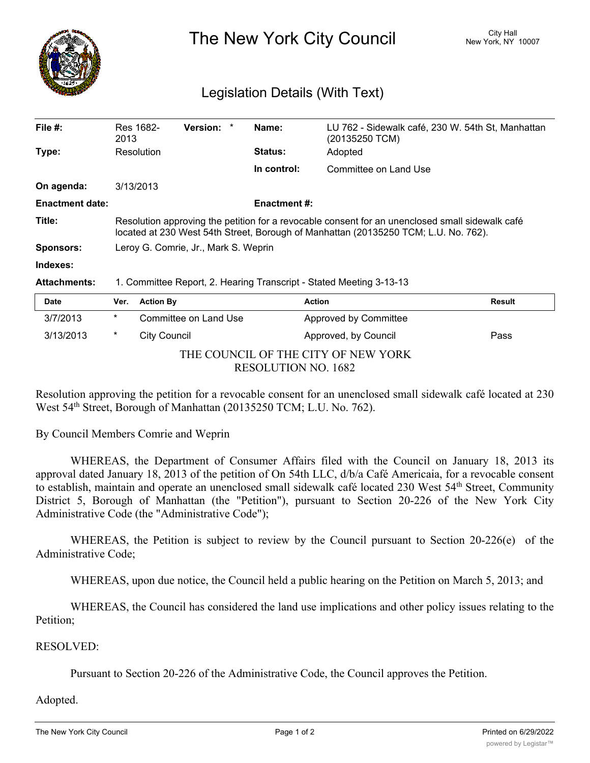

The New York City Council New York, NY 10007

## Legislation Details (With Text)

| File $#$ :             | Res 1682-<br>2013                                                                                                                                                                      |                  | <b>Version:</b>       | Name:               | (20135250 TCM)        | LU 762 - Sidewalk café, 230 W. 54th St, Manhattan |
|------------------------|----------------------------------------------------------------------------------------------------------------------------------------------------------------------------------------|------------------|-----------------------|---------------------|-----------------------|---------------------------------------------------|
| Type:                  | Resolution                                                                                                                                                                             |                  |                       | <b>Status:</b>      | Adopted               |                                                   |
|                        |                                                                                                                                                                                        |                  |                       | In control:         | Committee on Land Use |                                                   |
| On agenda:             | 3/13/2013                                                                                                                                                                              |                  |                       |                     |                       |                                                   |
| <b>Enactment date:</b> |                                                                                                                                                                                        |                  |                       | <b>Enactment #:</b> |                       |                                                   |
| Title:                 | Resolution approving the petition for a revocable consent for an unenclosed small sidewalk café<br>located at 230 West 54th Street, Borough of Manhattan (20135250 TCM; L.U. No. 762). |                  |                       |                     |                       |                                                   |
| <b>Sponsors:</b>       | Leroy G. Comrie, Jr., Mark S. Weprin                                                                                                                                                   |                  |                       |                     |                       |                                                   |
| Indexes:               |                                                                                                                                                                                        |                  |                       |                     |                       |                                                   |
| <b>Attachments:</b>    | 1. Committee Report, 2. Hearing Transcript - Stated Meeting 3-13-13                                                                                                                    |                  |                       |                     |                       |                                                   |
| <b>Date</b>            | Ver.                                                                                                                                                                                   | <b>Action By</b> |                       |                     | <b>Action</b>         | <b>Result</b>                                     |
| 3/7/2013               | $\ast$                                                                                                                                                                                 |                  | Committee on Land Use |                     | Approved by Committee |                                                   |

| THE COUNCIL OF THE CITY OF NEW YORK |
|-------------------------------------|
| RESOLUTION NO. 1682                 |

3/13/2013 \* City Council Approved, by Council Pass

Resolution approving the petition for a revocable consent for an unenclosed small sidewalk café located at 230 West 54<sup>th</sup> Street, Borough of Manhattan (20135250 TCM; L.U. No. 762).

By Council Members Comrie and Weprin

WHEREAS, the Department of Consumer Affairs filed with the Council on January 18, 2013 its approval dated January 18, 2013 of the petition of On 54th LLC, d/b/a Café Americaia, for a revocable consent to establish, maintain and operate an unenclosed small sidewalk café located 230 West 54<sup>th</sup> Street, Community District 5, Borough of Manhattan (the "Petition"), pursuant to Section 20-226 of the New York City Administrative Code (the "Administrative Code");

WHEREAS, the Petition is subject to review by the Council pursuant to Section 20-226(e) of the Administrative Code;

WHEREAS, upon due notice, the Council held a public hearing on the Petition on March 5, 2013; and

WHEREAS, the Council has considered the land use implications and other policy issues relating to the Petition;

## RESOLVED:

Pursuant to Section 20-226 of the Administrative Code, the Council approves the Petition.

## Adopted.